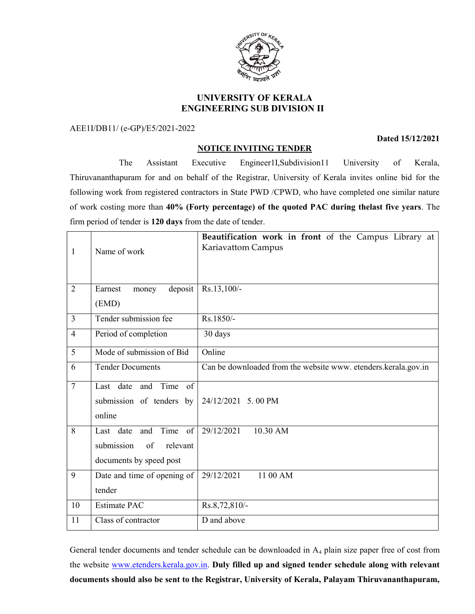

# UNIVERSITY OF KERALA ENGINEERING SUB DIVISION II

AEE1I/DB11/ (e-GP)/E5/2021-2022

### NOTICE INVITING TENDER

 The Assistant Executive Engineer1I,Subdivision11 University of Kerala, Thiruvananthapuram for and on behalf of the Registrar, University of Kerala invites online bid for the following work from registered contractors in State PWD /CPWD, who have completed one similar nature of work costing more than 40% (Forty percentage) of the quoted PAC during thelast five years. The firm period of tender is 120 days from the date of tender.

| 1              | Name of work                                                                           | Beautification work in front of the Campus Library at<br>Kariavattom Campus |
|----------------|----------------------------------------------------------------------------------------|-----------------------------------------------------------------------------|
| $\overline{2}$ | deposit<br>Earnest<br>money<br>(EMD)                                                   | Rs.13,100/-                                                                 |
| $\overline{3}$ | Tender submission fee                                                                  | Rs.1850/-                                                                   |
| $\overline{4}$ | Period of completion                                                                   | 30 days                                                                     |
| 5              | Mode of submission of Bid                                                              | Online                                                                      |
| 6              | <b>Tender Documents</b>                                                                | Can be downloaded from the website www. etenders.kerala.gov.in              |
| $\overline{7}$ | Last date and Time of<br>submission of tenders by<br>online                            | 24/12/2021 5.00 PM                                                          |
| 8              | Time of<br>Last date<br>and<br>submission<br>of<br>relevant<br>documents by speed post | 29/12/2021<br>10.30 AM                                                      |
| 9              | Date and time of opening of<br>tender                                                  | 29/12/2021<br>11 00 AM                                                      |
| 10             | <b>Estimate PAC</b>                                                                    | Rs.8,72,810/-                                                               |
| 11             | Class of contractor                                                                    | D and above                                                                 |

General tender documents and tender schedule can be downloaded in A<sub>4</sub> plain size paper free of cost from the website www.etenders.kerala.gov.in. Duly filled up and signed tender schedule along with relevant documents should also be sent to the Registrar, University of Kerala, Palayam Thiruvananthapuram,

#### Dated 15/12/2021